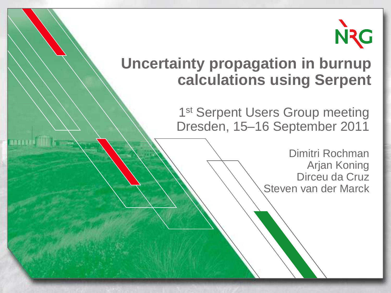

#### **Uncertainty propagation in burnup calculations using Serpent**

1st Serpent Users Group meeting Dresden, 15–16 September 2011

> Dimitri Rochman Arjan Koning Dirceu da Cruz Steven van der Marck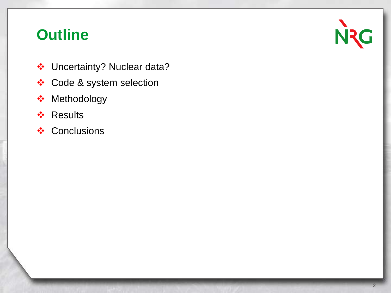# **Outline**

- Uncertainty? Nuclear data?
- Code & system selection
- **❖** Methodology
- ❖ Results
- ❖ Conclusions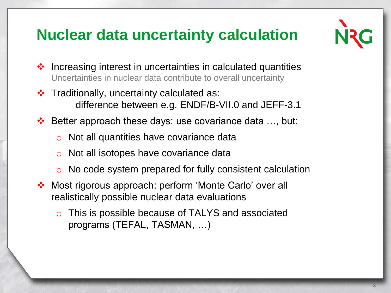# **Nuclear data uncertainty calculation**



- $\cdot$  Increasing interest in uncertainties in calculated quantities Uncertainties in nuclear data contribute to overall uncertainty
- $\cdot$  Traditionally, uncertainty calculated as: difference between e.g. ENDF/B-VII.0 and JEFF-3.1
- $\div$  Better approach these days: use covariance data ..., but:
	- o Not all quantities have covariance data
	- o Not all isotopes have covariance data
	- No code system prepared for fully consistent calculation
- Most rigorous approach: perform 'Monte Carlo' over all realistically possible nuclear data evaluations
	- This is possible because of TALYS and associated programs (TEFAL, TASMAN, …)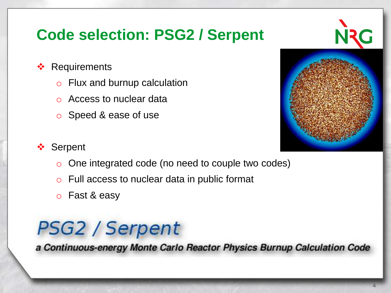# **Code selection: PSG2 / Serpent**

- ❖ Requirements
	- o Flux and burnup calculation
	- Access to nuclear data
	- o Speed & ease of use



#### **❖** Serpent

- o One integrated code (no need to couple two codes)
- o Full access to nuclear data in public format
- o Fast & easy

# **PSG2 / Serpent**

a Continuous-energy Monte Carlo Reactor Physics Burnup Calculation Code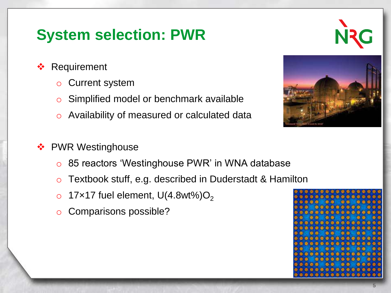### **System selection: PWR**

- **❖ Requirement** 
	- **Current system**
	- o Simplified model or benchmark available
	- o Availability of measured or calculated data
- ❖ PWR Westinghouse
	- o 85 reactors 'Westinghouse PWR' in WNA database
	- o Textbook stuff, e.g. described in Duderstadt & Hamilton
	- o 17×17 fuel element,  $U(4.8wt\%)O<sub>2</sub>$
	- Comparisons possible?



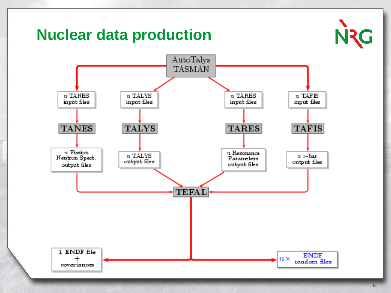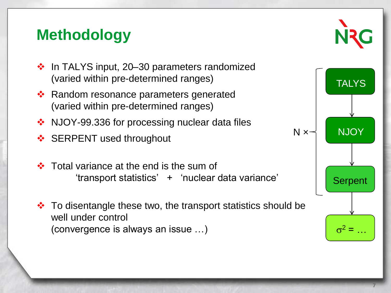# **Methodology**



- $\cdot$  In TALYS input, 20–30 parameters randomized (varied within pre-determined ranges)
- **EXA** Random resonance parameters generated (varied within pre-determined ranges)
- ❖ NJOY-99.336 for processing nuclear data files
- ❖ SERPENT used throughout
- Total variance at the end is the sum of 'transport statistics' + 'nuclear data variance'
- $\cdot$  To disentangle these two, the transport statistics should be well under control (convergence is always an issue …)

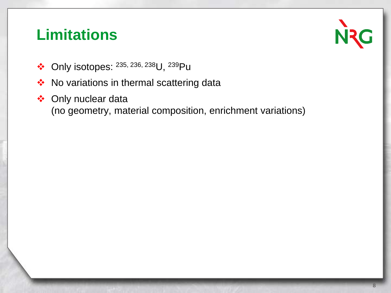#### **Limitations**

**N<sub>2</sub>G** 

- ◆ Only isotopes: 235, 236, 238U, 239Pu
- ◆ No variations in thermal scattering data
- ◆ Only nuclear data (no geometry, material composition, enrichment variations)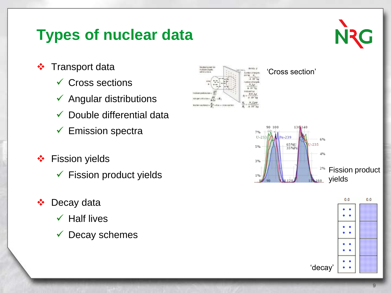### **Types of nuclear data**

N<sub>2G</sub>

- ❖ Transport data
	- $\checkmark$  Cross sections
	- $\checkmark$  Angular distributions
	- $\checkmark$  Double differential data
	- $\checkmark$  Emission spectra
- **❖** Fission yields
	- $\checkmark$  Fission product yields
- ❖ Decay data
	- $\checkmark$  Half lives
	- $\checkmark$  Decay schemes





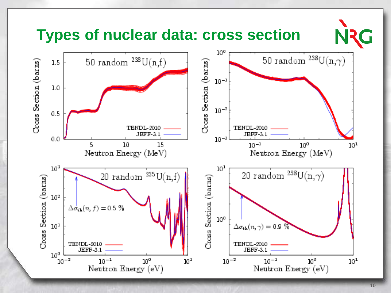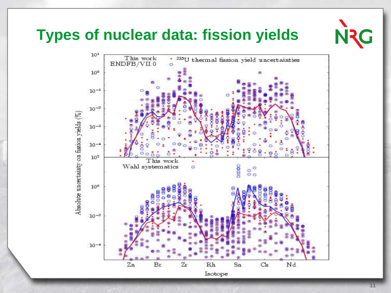#### **Types of nuclear data: fission yields**

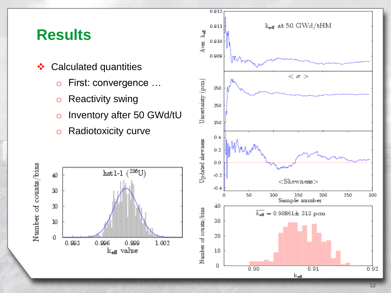#### **Results**

- **❖** Calculated quantities
	- o First: convergence …
	- o Reactivity swing
	- o Inventory after 50 GWd/tU
	- o Radiotoxicity curve



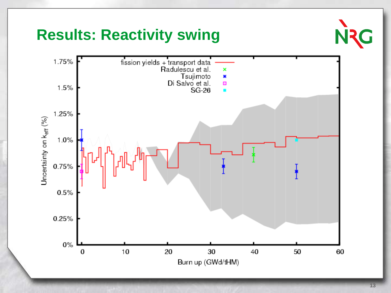#### **Results: Reactivity swing**

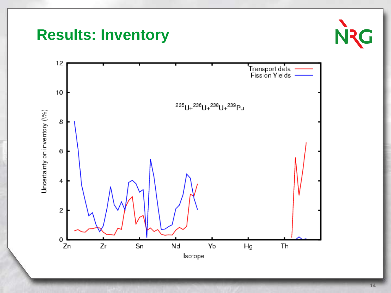



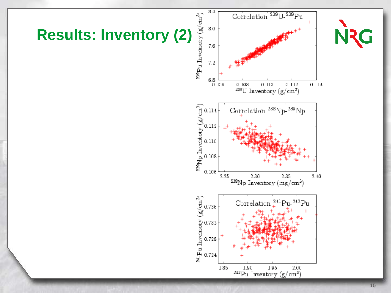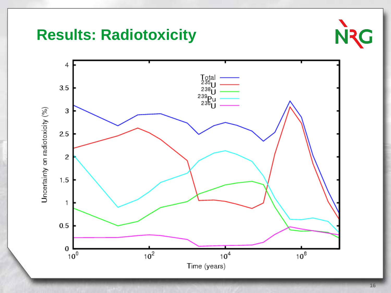